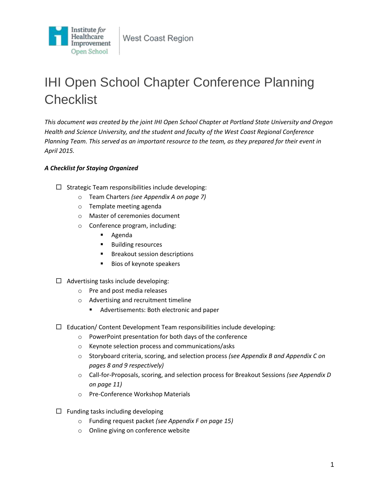

# IHI Open School Chapter Conference Planning **Checklist**

*This document was created by the joint IHI Open School Chapter at Portland State University and Oregon Health and Science University, and the student and faculty of the West Coast Regional Conference Planning Team. This served as an important resource to the team, as they prepared for their event in April 2015.*

# *A Checklist for Staying Organized*

- $\Box$  Strategic Team responsibilities include developing:
	- o Team Charters *(see Appendix A on page 7)*
	- o Template meeting agenda
	- o Master of ceremonies document
	- o Conference program, including:
		- Agenda
		- **Building resources**
		- Breakout session descriptions
		- Bios of keynote speakers
- $\Box$  Advertising tasks include developing:
	- o Pre and post media releases
	- o Advertising and recruitment timeline
		- Advertisements: Both electronic and paper
- $\Box$  Education/ Content Development Team responsibilities include developing:
	- o PowerPoint presentation for both days of the conference
	- o Keynote selection process and communications/asks
	- o Storyboard criteria, scoring, and selection process *(see Appendix B and Appendix C on pages 8 and 9 respectively)*
	- o Call-for-Proposals, scoring, and selection process for Breakout Sessions *(see Appendix D on page 11)*
	- o Pre-Conference Workshop Materials
- $\Box$  Funding tasks including developing
	- o Funding request packet *(see Appendix F on page 15)*
	- o Online giving on conference website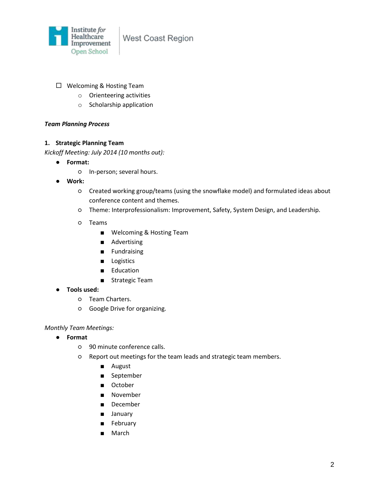

- □ Welcoming & Hosting Team
	- o Orienteering activities
	- o Scholarship application

# *Team Planning Process*

#### **1. Strategic Planning Team**

*Kickoff Meeting: July 2014 (10 months out):* 

- **Format:** 
	- In-person; several hours.
- **Work:** 
	- Created working group/teams (using the snowflake model) and formulated ideas about conference content and themes.
	- Theme: Interprofessionalism: Improvement, Safety, System Design, and Leadership.
	- Teams
		- Welcoming & Hosting Team
		- Advertising
		- Fundraising
		- Logistics
		- Education
		- Strategic Team
- **Tools used:**
	- Team Charters.
	- Google Drive for organizing.

*Monthly Team Meetings:*

- **Format**
	- 90 minute conference calls.
	- Report out meetings for the team leads and strategic team members.
		- August
		- September
		- October
		- November
		- December
		- January
		- February
		- March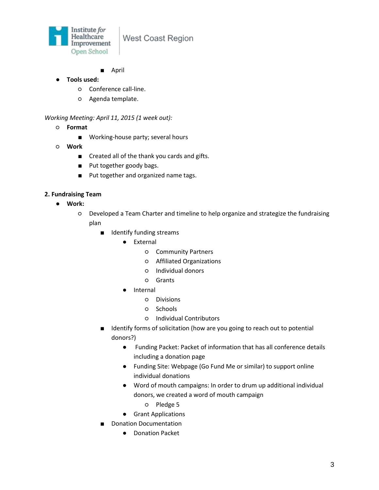

- April
- **Tools used:**
	- Conference call-line.
	- Agenda template.

# *Working Meeting: April 11, 2015 (1 week out):*

- **Format**
	- Working-house party; several hours
- **Work**
	- Created all of the thank you cards and gifts.
	- Put together goody bags.
	- Put together and organized name tags.

#### **2. Fundraising Team**

- **Work:**
	- Developed a Team Charter and timeline to help organize and strategize the fundraising plan
		- Identify funding streams
			- External
				- Community Partners
				- Affiliated Organizations
				- Individual donors
				- Grants
			- **Internal** 
				- Divisions
				- Schools
				- Individual Contributors
		- Identify forms of solicitation (how are you going to reach out to potential donors?)
			- Funding Packet: Packet of information that has all conference details including a donation page
			- Funding Site: Webpage (Go Fund Me or similar) to support online individual donations
			- Word of mouth campaigns: In order to drum up additional individual donors, we created a word of mouth campaign
				- Pledge 5
			- Grant Applications
		- Donation Documentation
			- Donation Packet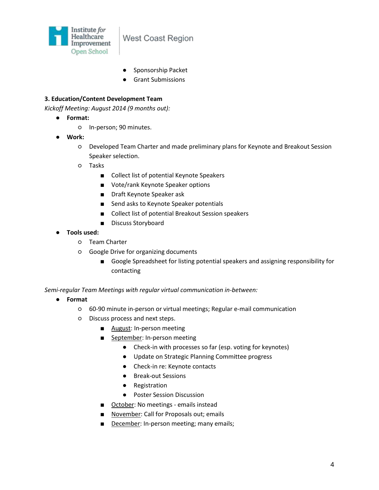

- Sponsorship Packet
- **Grant Submissions**

#### **3. Education/Content Development Team**

*Kickoff Meeting: August 2014 (9 months out):* 

- **Format:** 
	- In-person; 90 minutes.
- **Work:** 
	- Developed Team Charter and made preliminary plans for Keynote and Breakout Session Speaker selection.
	- Tasks
		- Collect list of potential Keynote Speakers
		- Vote/rank Keynote Speaker options
		- Draft Keynote Speaker ask
		- Send asks to Keynote Speaker potentials
		- Collect list of potential Breakout Session speakers
		- Discuss Storyboard
- **Tools used:**
	- Team Charter
	- Google Drive for organizing documents
		- Google Spreadsheet for listing potential speakers and assigning responsibility for contacting

*Semi-regular Team Meetings with regular virtual communication in-between:*

- **Format**
	- 60-90 minute in-person or virtual meetings; Regular e-mail communication
	- Discuss process and next steps.
		- August: In-person meeting
		- September: In-person meeting
			- Check-in with processes so far (esp. voting for keynotes)
			- Update on Strategic Planning Committee progress
			- Check-in re: Keynote contacts
			- Break-out Sessions
			- Registration
			- Poster Session Discussion
		- October: No meetings emails instead
		- November: Call for Proposals out; emails
		- December: In-person meeting; many emails;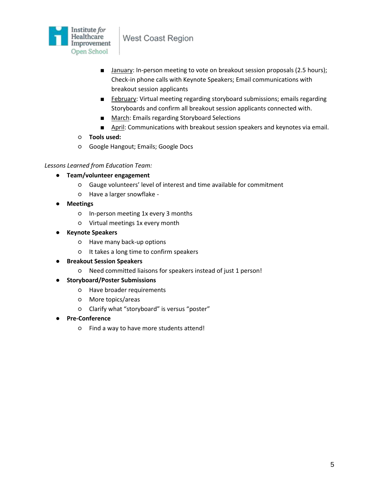

- January: In-person meeting to vote on breakout session proposals (2.5 hours); Check-in phone calls with Keynote Speakers; Email communications with breakout session applicants
- February: Virtual meeting regarding storyboard submissions; emails regarding Storyboards and confirm all breakout session applicants connected with.
- March: Emails regarding Storyboard Selections
- April: Communications with breakout session speakers and keynotes via email.
- **Tools used:**
- Google Hangout; Emails; Google Docs

#### *Lessons Learned from Education Team:*

- **Team/volunteer engagement**
	- Gauge volunteers' level of interest and time available for commitment
	- Have a larger snowflake -
- **Meetings**
	- In-person meeting 1x every 3 months
	- Virtual meetings 1x every month
- **Keynote Speakers**
	- Have many back-up options
	- It takes a long time to confirm speakers
- **Breakout Session Speakers**
	- Need committed liaisons for speakers instead of just 1 person!
- **Storyboard/Poster Submissions**
	- Have broader requirements
	- More topics/areas
	- Clarify what "storyboard" is versus "poster"
- **Pre-Conference**
	- Find a way to have more students attend!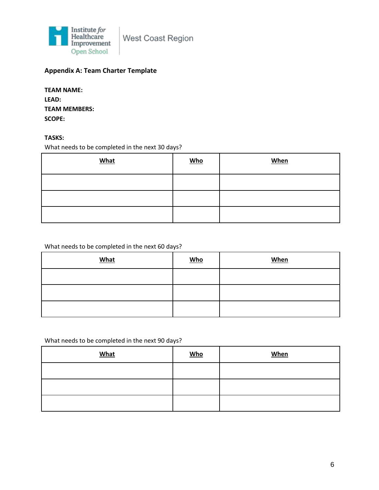

# **Appendix A: Team Charter Template**

| <b>TFAM NAMF:</b>    |
|----------------------|
| <b>LEAD:</b>         |
| <b>TEAM MEMBERS:</b> |
| <b>SCOPE:</b>        |

# **TASKS:**

What needs to be completed in the next 30 days?

| What | <b>Who</b> | When |
|------|------------|------|
|      |            |      |
|      |            |      |
|      |            |      |

# What needs to be completed in the next 60 days?

| What | $\underline{\text{Who}}$ | <b>When</b> |
|------|--------------------------|-------------|
|      |                          |             |
|      |                          |             |
|      |                          |             |

# What needs to be completed in the next 90 days?

| <b>What</b> | <b>Who</b> | <b>When</b> |
|-------------|------------|-------------|
|             |            |             |
|             |            |             |
|             |            |             |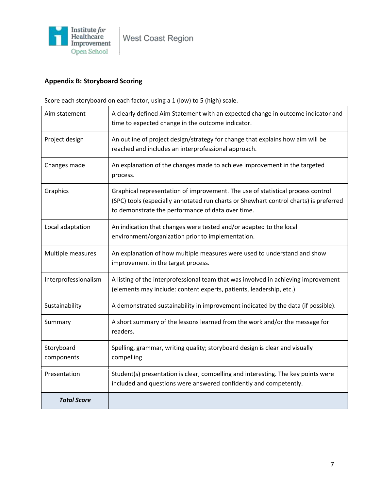

# **Appendix B: Storyboard Scoring**

Score each storyboard on each factor, using a 1 (low) to 5 (high) scale.

| Aim statement            | A clearly defined Aim Statement with an expected change in outcome indicator and<br>time to expected change in the outcome indicator.                                                                                         |
|--------------------------|-------------------------------------------------------------------------------------------------------------------------------------------------------------------------------------------------------------------------------|
| Project design           | An outline of project design/strategy for change that explains how aim will be<br>reached and includes an interprofessional approach.                                                                                         |
| Changes made             | An explanation of the changes made to achieve improvement in the targeted<br>process.                                                                                                                                         |
| Graphics                 | Graphical representation of improvement. The use of statistical process control<br>(SPC) tools (especially annotated run charts or Shewhart control charts) is preferred<br>to demonstrate the performance of data over time. |
| Local adaptation         | An indication that changes were tested and/or adapted to the local<br>environment/organization prior to implementation.                                                                                                       |
| Multiple measures        | An explanation of how multiple measures were used to understand and show<br>improvement in the target process.                                                                                                                |
| Interprofessionalism     | A listing of the interprofessional team that was involved in achieving improvement<br>(elements may include: content experts, patients, leadership, etc.)                                                                     |
| Sustainability           | A demonstrated sustainability in improvement indicated by the data (if possible).                                                                                                                                             |
| Summary                  | A short summary of the lessons learned from the work and/or the message for<br>readers.                                                                                                                                       |
| Storyboard<br>components | Spelling, grammar, writing quality; storyboard design is clear and visually<br>compelling                                                                                                                                     |
| Presentation             | Student(s) presentation is clear, compelling and interesting. The key points were<br>included and questions were answered confidently and competently.                                                                        |
| <b>Total Score</b>       |                                                                                                                                                                                                                               |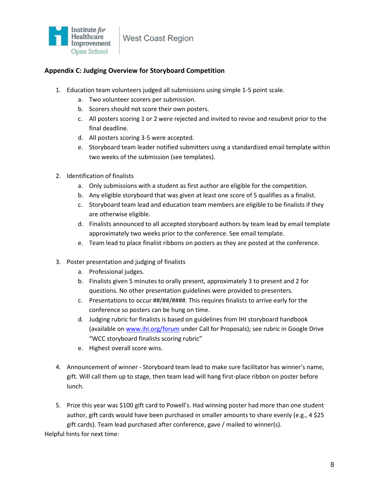

# **Appendix C: Judging Overview for Storyboard Competition**

- 1. Education team volunteers judged all submissions using simple 1-5 point scale.
	- a. Two volunteer scorers per submission.
	- b. Scorers should not score their own posters.
	- c. All posters scoring 1 or 2 were rejected and invited to revise and resubmit prior to the final deadline.
	- d. All posters scoring 3-5 were accepted.
	- e. Storyboard team leader notified submitters using a standardized email template within two weeks of the submission (see templates).
- 2. Identification of finalists
	- a. Only submissions with a student as first author are eligible for the competition.
	- b. Any eligible storyboard that was given at least one score of 5 qualifies as a finalist.
	- c. Storyboard team lead and education team members are eligible to be finalists if they are otherwise eligible.
	- d. Finalists announced to all accepted storyboard authors by team lead by email template approximately two weeks prior to the conference. See email template.
	- e. Team lead to place finalist ribbons on posters as they are posted at the conference.
- 3. Poster presentation and judging of finalists
	- a. Professional judges.
	- b. Finalists given 5 minutes to orally present, approximately 3 to present and 2 for questions. No other presentation guidelines were provided to presenters.
	- c. Presentations to occur ##/##/####. This requires finalists to arrive early for the conference so posters can be hung on time.
	- d. Judging rubric for finalists is based on guidelines from IHI storyboard handbook (available o[n www.ihi.org/forum](http://www.ihi.org/forum) under Call for Proposals); see rubric in Google Drive "WCC storyboard finalists scoring rubric"
	- e. Highest overall score wins.
- 4. Announcement of winner Storyboard team lead to make sure facilitator has winner's name, gift. Will call them up to stage, then team lead will hang first-place ribbon on poster before lunch.
- 5. Prize this year was \$100 gift card to Powell's. Had winning poster had more than one student author, gift cards would have been purchased in smaller amounts to share evenly (e.g., 4 \$25 gift cards). Team lead purchased after conference, gave / mailed to winner(s).

Helpful hints for next time: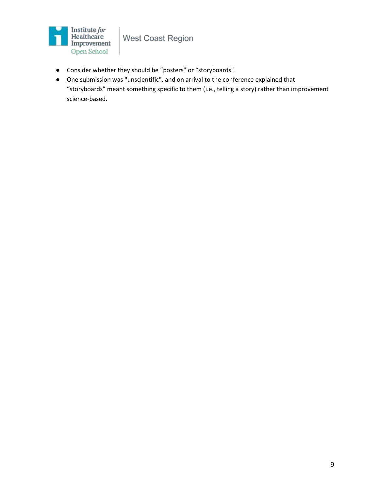

- Consider whether they should be "posters" or "storyboards".
- One submission was "unscientific", and on arrival to the conference explained that "storyboards" meant something specific to them (i.e., telling a story) rather than improvement science-based.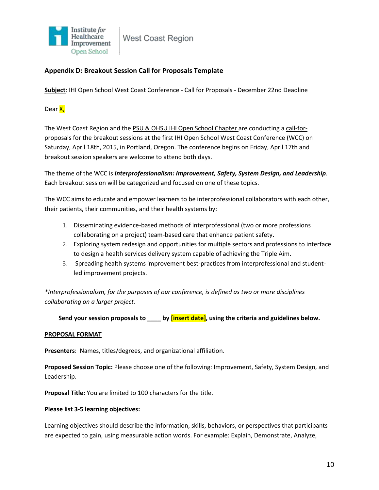

# **Appendix D: Breakout Session Call for Proposals Template**

**Subject**: IHI Open School West Coast Conference - Call for Proposals - December 22nd Deadline

Dear X,

The West Coast Region and th[e](http://www.portlandopenschool.org/) [PSU & OHSU IHI Open School Chapter](http://www.portlandopenschool.org/) are conducting [a](https://portlandstate.qualtrics.com/SE/?SID=SV_ehukasMWfyXcU2p) [call-for](https://portlandstate.qualtrics.com/SE/?SID=SV_ehukasMWfyXcU2p)[proposals for the breakout sessions](https://portlandstate.qualtrics.com/SE/?SID=SV_ehukasMWfyXcU2p) at the first IHI Open School West Coast Conference (WCC) on Saturday, April 18th, 2015, in Portland, Oregon. The conference begins on Friday, April 17th and breakout session speakers are welcome to attend both days.

The theme of the WCC is *Interprofessionalism: Improvement, Safety, System Design, and Leadership*. Each breakout session will be categorized and focused on one of these topics.

The WCC aims to educate and empower learners to be interprofessional collaborators with each other, their patients, their communities, and their health systems by:

- 1. Disseminating evidence-based methods of interprofessional (two or more professions collaborating on a project) team-based care that enhance patient safety.
- 2. Exploring system redesign and opportunities for multiple sectors and professions to interface to design a health services delivery system capable of achieving the Triple Aim.
- 3. Spreading health systems improvement best-practices from interprofessional and studentled improvement projects.

*\*Interprofessionalism, for the purposes of our conference, is defined as two or more disciplines collaborating on a larger project.*

**Send your session proposals to \_\_\_\_ by [insert date], using the criteria and guidelines below.**

#### **PROPOSAL FORMAT**

**Presenters**: Names, titles/degrees, and organizational affiliation.

**Proposed Session Topic:** Please choose one of the following: Improvement, Safety, System Design, and Leadership.

**Proposal Title:** You are limited to 100 characters for the title.

#### **Please list 3-5 learning objectives:**

Learning objectives should describe the information, skills, behaviors, or perspectives that participants are expected to gain, using measurable action words. For example: Explain, Demonstrate, Analyze,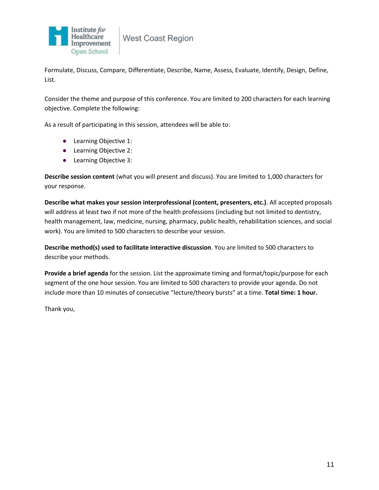

Formulate, Discuss, Compare, Differentiate, Describe, Name, Assess, Evaluate, Identify, Design, Define, List.

Consider the theme and purpose of this conference. You are limited to 200 characters for each learning objective. Complete the following:

As a result of participating in this session, attendees will be able to:

- Learning Objective 1:
- Learning Objective 2:
- Learning Objective 3:

**Describe session content** (what you will present and discuss). You are limited to 1,000 characters for your response.

**Describe what makes your session interprofessional (content, presenters, etc.)**. All accepted proposals will address at least two if not more of the health professions (including but not limited to dentistry, health management, law, medicine, nursing, pharmacy, public health, rehabilitation sciences, and social work). You are limited to 500 characters to describe your session.

**Describe method(s) used to facilitate interactive discussion**. You are limited to 500 characters to describe your methods.

**Provide a brief agenda** for the session. List the approximate timing and format/topic/purpose for each segment of the one hour session. You are limited to 500 characters to provide your agenda. Do not include more than 10 minutes of consecutive "lecture/theory bursts" at a time. **Total time: 1 hour.**

Thank you,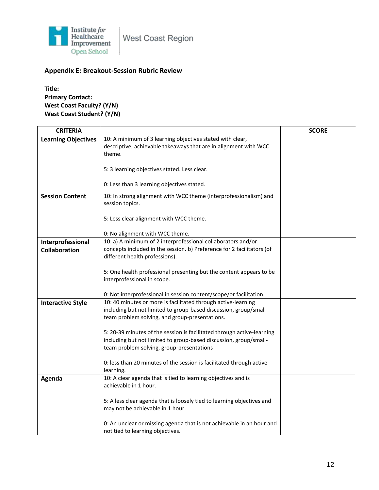

# **Appendix E: Breakout-Session Rubric Review**

**Title: Primary Contact: West Coast Faculty? (Y/N) West Coast Student? (Y/N)**

| <b>CRITERIA</b>                           |                                                                                                                                                                                          | <b>SCORE</b> |
|-------------------------------------------|------------------------------------------------------------------------------------------------------------------------------------------------------------------------------------------|--------------|
| <b>Learning Objectives</b>                | 10: A minimum of 3 learning objectives stated with clear,<br>descriptive, achievable takeaways that are in alignment with WCC<br>theme.                                                  |              |
|                                           | 5: 3 learning objectives stated. Less clear.                                                                                                                                             |              |
|                                           | 0: Less than 3 learning objectives stated.                                                                                                                                               |              |
| <b>Session Content</b>                    | 10: In strong alignment with WCC theme (interprofessionalism) and<br>session topics.                                                                                                     |              |
|                                           | 5: Less clear alignment with WCC theme.                                                                                                                                                  |              |
|                                           | 0: No alignment with WCC theme.                                                                                                                                                          |              |
| Interprofessional<br><b>Collaboration</b> | 10: a) A minimum of 2 interprofessional collaborators and/or<br>concepts included in the session. b) Preference for 2 facilitators (of                                                   |              |
|                                           | different health professions).                                                                                                                                                           |              |
|                                           | 5: One health professional presenting but the content appears to be                                                                                                                      |              |
|                                           | interprofessional in scope.                                                                                                                                                              |              |
|                                           | 0: Not interprofessional in session content/scope/or facilitation.                                                                                                                       |              |
| <b>Interactive Style</b>                  | 10: 40 minutes or more is facilitated through active-learning<br>including but not limited to group-based discussion, group/small-<br>team problem solving, and group-presentations.     |              |
|                                           | 5: 20-39 minutes of the session is facilitated through active-learning<br>including but not limited to group-based discussion, group/small-<br>team problem solving, group-presentations |              |
|                                           | 0: less than 20 minutes of the session is facilitated through active<br>learning.                                                                                                        |              |
| Agenda                                    | 10: A clear agenda that is tied to learning objectives and is<br>achievable in 1 hour.                                                                                                   |              |
|                                           | 5: A less clear agenda that is loosely tied to learning objectives and<br>may not be achievable in 1 hour.                                                                               |              |
|                                           | 0: An unclear or missing agenda that is not achievable in an hour and<br>not tied to learning objectives.                                                                                |              |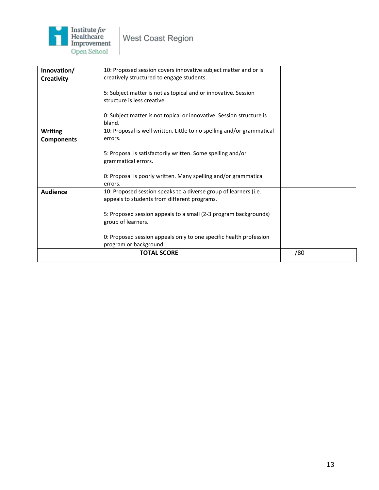

| Innovation/       | 10: Proposed session covers innovative subject matter and or is        |     |
|-------------------|------------------------------------------------------------------------|-----|
| <b>Creativity</b> | creatively structured to engage students.                              |     |
|                   |                                                                        |     |
|                   | 5: Subject matter is not as topical and or innovative. Session         |     |
|                   | structure is less creative.                                            |     |
|                   |                                                                        |     |
|                   | 0: Subject matter is not topical or innovative. Session structure is   |     |
|                   | bland.                                                                 |     |
| <b>Writing</b>    | 10: Proposal is well written. Little to no spelling and/or grammatical |     |
|                   | errors.                                                                |     |
| <b>Components</b> |                                                                        |     |
|                   | 5: Proposal is satisfactorily written. Some spelling and/or            |     |
|                   |                                                                        |     |
|                   | grammatical errors.                                                    |     |
|                   |                                                                        |     |
|                   | 0: Proposal is poorly written. Many spelling and/or grammatical        |     |
|                   | errors.                                                                |     |
| <b>Audience</b>   | 10: Proposed session speaks to a diverse group of learners (i.e.       |     |
|                   | appeals to students from different programs.                           |     |
|                   |                                                                        |     |
|                   | 5: Proposed session appeals to a small (2-3 program backgrounds)       |     |
|                   | group of learners.                                                     |     |
|                   |                                                                        |     |
|                   | 0: Proposed session appeals only to one specific health profession     |     |
|                   | program or background.                                                 |     |
|                   | <b>TOTAL SCORE</b>                                                     | /80 |
|                   |                                                                        |     |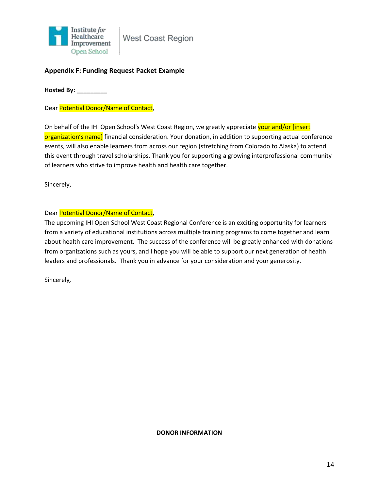

# **Appendix F: Funding Request Packet Example**

**Hosted By: \_\_\_\_\_\_\_\_\_**

Dear Potential Donor/Name of Contact,

On behalf of the IHI Open School's West Coast Region, we greatly appreciate your and/or [insert organization's name] financial consideration. Your donation, in addition to supporting actual conference events, will also enable learners from across our region (stretching from Colorado to Alaska) to attend this event through travel scholarships. Thank you for supporting a growing interprofessional community of learners who strive to improve health and health care together.

Sincerely,

#### Dear Potential Donor/Name of Contact,

The upcoming IHI Open School West Coast Regional Conference is an exciting opportunity for learners from a variety of educational institutions across multiple training programs to come together and learn about health care improvement. The success of the conference will be greatly enhanced with donations from organizations such as yours, and I hope you will be able to support our next generation of health leaders and professionals. Thank you in advance for your consideration and your generosity.

Sincerely*,*

**DONOR INFORMATION**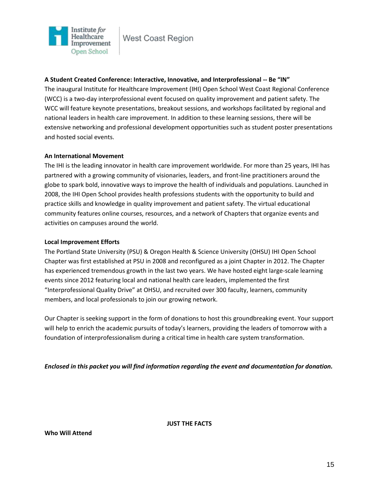

# **A Student Created Conference: Interactive, Innovative, and Interprofessional -- Be "IN"**

The inaugural Institute for Healthcare Improvement (IHI) Open School West Coast Regional Conference (WCC) is a two-day interprofessional event focused on quality improvement and patient safety. The WCC will feature keynote presentations, breakout sessions, and workshops facilitated by regional and national leaders in health care improvement. In addition to these learning sessions, there will be extensive networking and professional development opportunities such as student poster presentations and hosted social events.

#### **An International Movement**

The IHI is the leading innovator in health care improvement worldwide. For more than 25 years, IHI has partnered with a growing community of visionaries, leaders, and front-line practitioners around the globe to spark bold, innovative ways to improve the health of individuals and populations. Launched in 2008, the IHI Open School provides health professions students with the opportunity to build and practice skills and knowledge in quality improvement and patient safety. The virtual educational community features online courses, resources, and a network of Chapters that organize events and activities on campuses around the world.

#### **Local Improvement Efforts**

The Portland State University (PSU) & Oregon Health & Science University (OHSU) IHI Open School Chapter was first established at PSU in 2008 and reconfigured as a joint Chapter in 2012. The Chapter has experienced tremendous growth in the last two years. We have hosted eight large-scale learning events since 2012 featuring local and national health care leaders, implemented the first "Interprofessional Quality Drive" at OHSU, and recruited over 300 faculty, learners, community members, and local professionals to join our growing network.

Our Chapter is seeking support in the form of donations to host this groundbreaking event. Your support will help to enrich the academic pursuits of today's learners, providing the leaders of tomorrow with a foundation of interprofessionalism during a critical time in health care system transformation.

*Enclosed in this packet you will find information regarding the event and documentation for donation.*

**JUST THE FACTS**

**Who Will Attend**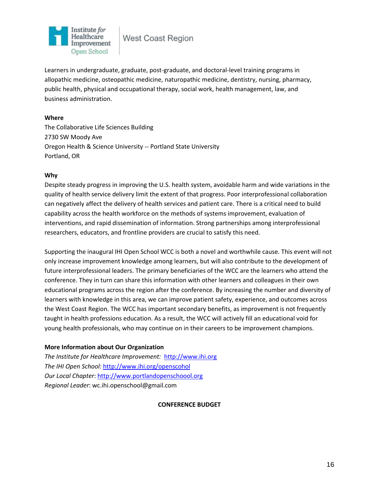

Learners in undergraduate, graduate, post-graduate, and doctoral-level training programs in allopathic medicine, osteopathic medicine, naturopathic medicine, dentistry, nursing, pharmacy, public health, physical and occupational therapy, social work, health management, law, and business administration.

#### **Where**

The Collaborative Life Sciences Building 2730 SW Moody Ave Oregon Health & Science University -- Portland State University Portland, OR

#### **Why**

Despite steady progress in improving the U.S. health system, avoidable harm and wide variations in the quality of health service delivery limit the extent of that progress. Poor interprofessional collaboration can negatively affect the delivery of health services and patient care. There is a critical need to build capability across the health workforce on the methods of systems improvement, evaluation of interventions, and rapid dissemination of information. Strong partnerships among interprofessional researchers, educators, and frontline providers are crucial to satisfy this need.

Supporting the inaugural IHI Open School WCC is both a novel and worthwhile cause. This event will not only increase improvement knowledge among learners, but will also contribute to the development of future interprofessional leaders. The primary beneficiaries of the WCC are the learners who attend the conference. They in turn can share this information with other learners and colleagues in their own educational programs across the region after the conference. By increasing the number and diversity of learners with knowledge in this area, we can improve patient safety, experience, and outcomes across the West Coast Region. The WCC has important secondary benefits, as improvement is not frequently taught in health professions education. As a result, the WCC will actively fill an educational void for young health professionals, who may continue on in their careers to be improvement champions.

# **More Information about Our Organization**

*The Institute for Healthcare Improvement:* [http://www.ihi.org](http://www.ihi.org/) *The IHI Open School:* <http://www.ihi.org/openscohol> *Our Local Chapter*[: http://www.portlandopenschoool.org](http://www.portlandopenschoool.org/) *Regional Leader*: wc.ihi.openschool@gmail.com

#### **CONFERENCE BUDGET**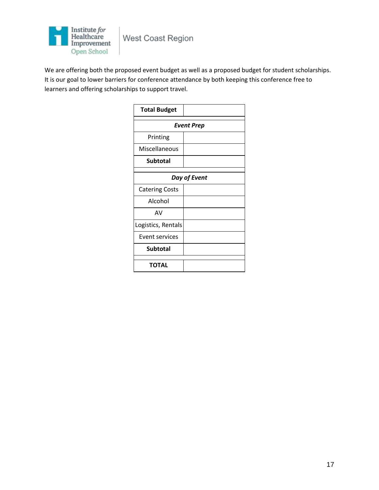

We are offering both the proposed event budget as well as a proposed budget for student scholarships. It is our goal to lower barriers for conference attendance by both keeping this conference free to learners and offering scholarships to support travel.

| <b>Total Budget</b>   |  |  |  |
|-----------------------|--|--|--|
| <b>Event Prep</b>     |  |  |  |
| Printing              |  |  |  |
| Miscellaneous         |  |  |  |
| <b>Subtotal</b>       |  |  |  |
| Day of Event          |  |  |  |
| <b>Catering Costs</b> |  |  |  |
| Alcohol               |  |  |  |
| AV                    |  |  |  |
| Logistics, Rentals    |  |  |  |
| Event services        |  |  |  |
| <b>Subtotal</b>       |  |  |  |
| <b>TOTAL</b>          |  |  |  |